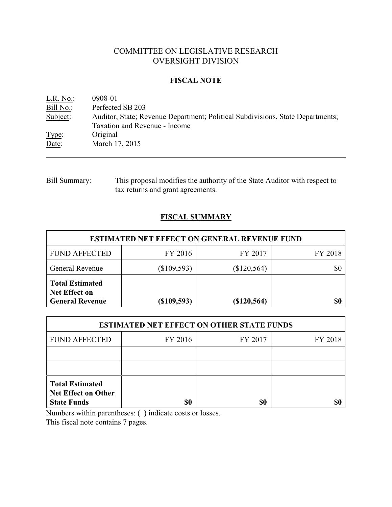## COMMITTEE ON LEGISLATIVE RESEARCH OVERSIGHT DIVISION

### **FISCAL NOTE**

| L.R. No.: | 0908-01                                                                        |
|-----------|--------------------------------------------------------------------------------|
| Bill No.: | Perfected SB 203                                                               |
| Subject:  | Auditor, State; Revenue Department; Political Subdivisions, State Departments; |
|           | Taxation and Revenue - Income                                                  |
| Type:     | Original                                                                       |
| Date:     | March 17, 2015                                                                 |

## Bill Summary: This proposal modifies the authority of the State Auditor with respect to tax returns and grant agreements.

# **FISCAL SUMMARY**

| <b>ESTIMATED NET EFFECT ON GENERAL REVENUE FUND</b>                      |               |               |         |  |
|--------------------------------------------------------------------------|---------------|---------------|---------|--|
| <b>FUND AFFECTED</b>                                                     | FY 2016       | FY 2017       | FY 2018 |  |
| <b>General Revenue</b>                                                   | $(\$109,593)$ | $(\$120,564)$ | \$0     |  |
| <b>Total Estimated</b><br><b>Net Effect on</b><br><b>General Revenue</b> | (\$109,593)   | (\$120,564)   | \$0     |  |

| <b>ESTIMATED NET EFFECT ON OTHER STATE FUNDS</b>                           |         |         |         |  |
|----------------------------------------------------------------------------|---------|---------|---------|--|
| <b>FUND AFFECTED</b>                                                       | FY 2016 | FY 2017 | FY 2018 |  |
|                                                                            |         |         |         |  |
|                                                                            |         |         |         |  |
| <b>Total Estimated</b><br><b>Net Effect on Other</b><br><b>State Funds</b> | \$0     | \$0     |         |  |

Numbers within parentheses: ( ) indicate costs or losses.

This fiscal note contains 7 pages.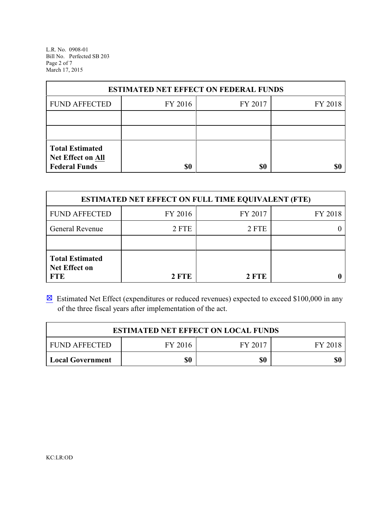L.R. No. 0908-01 Bill No. Perfected SB 203 Page 2 of 7 March 17, 2015

| <b>ESTIMATED NET EFFECT ON FEDERAL FUNDS</b>                        |         |         |         |  |
|---------------------------------------------------------------------|---------|---------|---------|--|
| <b>FUND AFFECTED</b>                                                | FY 2016 | FY 2017 | FY 2018 |  |
|                                                                     |         |         |         |  |
|                                                                     |         |         |         |  |
| <b>Total Estimated</b><br>Net Effect on All<br><b>Federal Funds</b> | \$0     | \$0     | SI)     |  |

| <b>ESTIMATED NET EFFECT ON FULL TIME EQUIVALENT (FTE)</b>    |              |         |         |  |
|--------------------------------------------------------------|--------------|---------|---------|--|
| <b>FUND AFFECTED</b>                                         | FY 2016      | FY 2017 | FY 2018 |  |
| <b>General Revenue</b>                                       | 2 FTE        | 2 FTE   |         |  |
|                                                              |              |         |         |  |
| <b>Total Estimated</b><br><b>Net Effect on</b><br><b>FTE</b> | <b>2 FTE</b> | 2 FTE   |         |  |

 $\boxtimes$  Estimated Net Effect (expenditures or reduced revenues) expected to exceed \$100,000 in any of the three fiscal years after implementation of the act.

| <b>ESTIMATED NET EFFECT ON LOCAL FUNDS</b> |         |         |         |  |
|--------------------------------------------|---------|---------|---------|--|
| <b>FUND AFFECTED</b>                       | FY 2016 | FY 2017 | FY 2018 |  |
| <b>Local Government</b>                    | \$0     | \$0     | \$0     |  |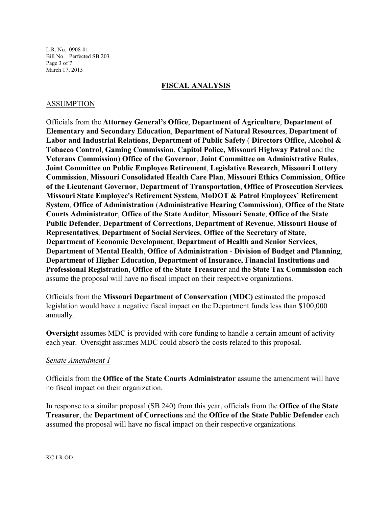L.R. No. 0908-01 Bill No. Perfected SB 203 Page 3 of 7 March 17, 2015

#### **FISCAL ANALYSIS**

### ASSUMPTION

Officials from the **Attorney General's Office**, **Department of Agriculture**, **Department of Elementary and Secondary Education**, **Department of Natural Resources**, **Department of Labor and Industrial Relations**, **Department of Public Safety** ( **Directors Office, Alcohol & Tobacco Control**, **Gaming Commission**, **Capitol Police, Missouri Highway Patrol** and the **Veterans Commission**) **Office of the Governor**, **Joint Committee on Administrative Rules**, **Joint Committee on Public Employee Retirement**, **Legislative Research**, **Missouri Lottery Commission**, **Missouri Consolidated Health Care Plan**, **Missouri Ethics Commission**, **Office of the Lieutenant Governor**, **Department of Transportation**, **Office of Prosecution Services**, **Missouri State Employee's Retirement System**, **MoDOT & Patrol Employees' Retirement System**, **Office of Administration** (**Administrative Hearing Commission)**, **Office of the State Courts Administrator**, **Office of the State Auditor**, **Missouri Senate**, **Office of the State Public Defender**, **Department of Corrections**, **Department of Revenue**, **Missouri House of Representatives**, **Department of Social Services**, **Office of the Secretary of State**, **Department of Economic Development**, **Department of Health and Senior Services**, **Department of Mental Health**, **Office of Administration** - **Division of Budget and Planning**, **Department of Higher Education**, **Department of Insurance, Financial Institutions and Professional Registration**, **Office of the State Treasurer** and the **State Tax Commission** each assume the proposal will have no fiscal impact on their respective organizations.

Officials from the **Missouri Department of Conservation (MDC)** estimated the proposed legislation would have a negative fiscal impact on the Department funds less than \$100,000 annually.

**Oversight** assumes MDC is provided with core funding to handle a certain amount of activity each year. Oversight assumes MDC could absorb the costs related to this proposal.

### *Senate Amendment 1*

Officials from the **Office of the State Courts Administrator** assume the amendment will have no fiscal impact on their organization.

In response to a similar proposal (SB 240) from this year, officials from the **Office of the State Treasurer**, the **Department of Corrections** and the **Office of the State Public Defender** each assumed the proposal will have no fiscal impact on their respective organizations.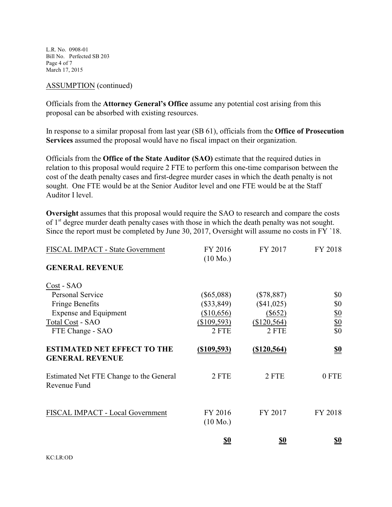L.R. No. 0908-01 Bill No. Perfected SB 203 Page 4 of 7 March 17, 2015

#### ASSUMPTION (continued)

Officials from the **Attorney General's Office** assume any potential cost arising from this proposal can be absorbed with existing resources.

In response to a similar proposal from last year (SB 61), officials from the **Office of Prosecution Services** assumed the proposal would have no fiscal impact on their organization.

Officials from the **Office of the State Auditor (SAO)** estimate that the required duties in relation to this proposal would require 2 FTE to perform this one-time comparison between the cost of the death penalty cases and first-degree murder cases in which the death penalty is not sought. One FTE would be at the Senior Auditor level and one FTE would be at the Staff Auditor I level.

**Oversight** assumes that this proposal would require the SAO to research and compare the costs of 1<sup>st</sup> degree murder death penalty cases with those in which the death penalty was not sought. Since the report must be completed by June 30, 2017, Oversight will assume no costs in FY `18.

| FISCAL IMPACT - State Government                             | FY 2016                       | FY 2017       | FY 2018         |
|--------------------------------------------------------------|-------------------------------|---------------|-----------------|
| <b>GENERAL REVENUE</b>                                       | $(10 \text{ Mo.})$            |               |                 |
| Cost - SAO                                                   |                               |               |                 |
| <b>Personal Service</b>                                      | $(\$65,088)$                  | $(\$78,887)$  | \$0             |
| <b>Fringe Benefits</b>                                       | $(\$33,849)$                  | $(\$41,025)$  | \$0             |
| <b>Expense and Equipment</b>                                 | (\$10,656)                    | $(\$652)$     | <u>\$0</u>      |
| Total Cost - SAO                                             | (\$109,593)                   | (\$120,564)   | $\frac{$0}{$0}$ |
| FTE Change - SAO                                             | 2 FTE                         | 2 FTE         |                 |
| <b>ESTIMATED NET EFFECT TO THE</b><br><b>GENERAL REVENUE</b> | $($ \$109,593)                | ( \$120, 564) | <u>\$0</u>      |
| Estimated Net FTE Change to the General<br>Revenue Fund      | 2 FTE                         | 2 FTE         | 0 FTE           |
| FISCAL IMPACT - Local Government                             | FY 2016<br>$(10 \text{ Mo.})$ | FY 2017       | FY 2018         |
|                                                              | <u>so</u>                     | <u>so</u>     | <u>so</u>       |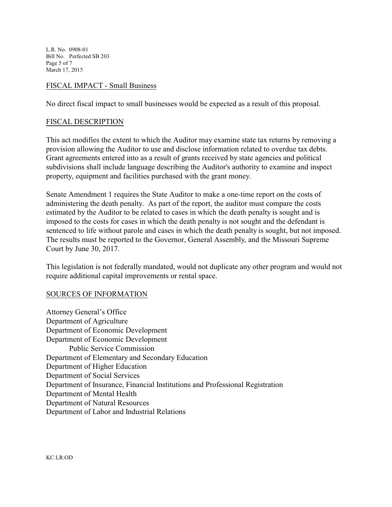L.R. No. 0908-01 Bill No. Perfected SB 203 Page 5 of 7 March 17, 2015

### FISCAL IMPACT - Small Business

No direct fiscal impact to small businesses would be expected as a result of this proposal.

#### FISCAL DESCRIPTION

This act modifies the extent to which the Auditor may examine state tax returns by removing a provision allowing the Auditor to use and disclose information related to overdue tax debts. Grant agreements entered into as a result of grants received by state agencies and political subdivisions shall include language describing the Auditor's authority to examine and inspect property, equipment and facilities purchased with the grant money.

Senate Amendment 1 requires the State Auditor to make a one-time report on the costs of administering the death penalty. As part of the report, the auditor must compare the costs estimated by the Auditor to be related to cases in which the death penalty is sought and is imposed to the costs for cases in which the death penalty is not sought and the defendant is sentenced to life without parole and cases in which the death penalty is sought, but not imposed. The results must be reported to the Governor, General Assembly, and the Missouri Supreme Court by June 30, 2017.

This legislation is not federally mandated, would not duplicate any other program and would not require additional capital improvements or rental space.

#### SOURCES OF INFORMATION

Attorney General's Office Department of Agriculture Department of Economic Development Department of Economic Development Public Service Commission Department of Elementary and Secondary Education Department of Higher Education Department of Social Services Department of Insurance, Financial Institutions and Professional Registration Department of Mental Health Department of Natural Resources Department of Labor and Industrial Relations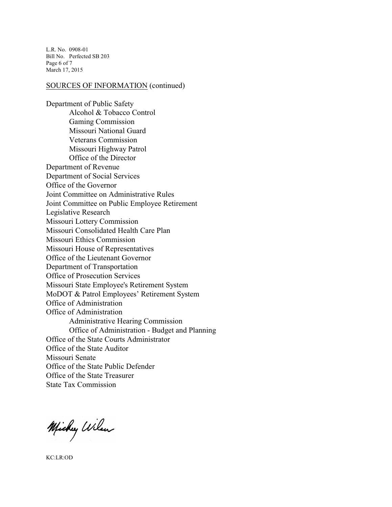L.R. No. 0908-01 Bill No. Perfected SB 203 Page 6 of 7 March 17, 2015

#### SOURCES OF INFORMATION (continued)

Department of Public Safety Alcohol & Tobacco Control Gaming Commission Missouri National Guard Veterans Commission Missouri Highway Patrol Office of the Director Department of Revenue Department of Social Services Office of the Governor Joint Committee on Administrative Rules Joint Committee on Public Employee Retirement Legislative Research Missouri Lottery Commission Missouri Consolidated Health Care Plan Missouri Ethics Commission Missouri House of Representatives Office of the Lieutenant Governor Department of Transportation Office of Prosecution Services Missouri State Employee's Retirement System MoDOT & Patrol Employees' Retirement System Office of Administration Office of Administration Administrative Hearing Commission Office of Administration - Budget and Planning Office of the State Courts Administrator Office of the State Auditor Missouri Senate Office of the State Public Defender Office of the State Treasurer State Tax Commission

Michy Wilson

KC:LR:OD